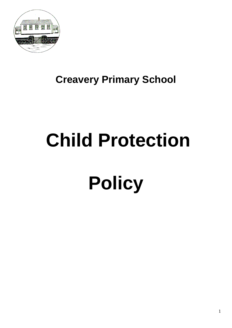

## **Creavery Primary School**

# **Child Protection**

# **Policy**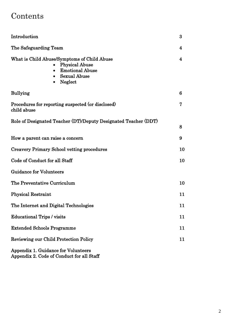### Contents

| Introduction                                                                                                                                  | 3           |
|-----------------------------------------------------------------------------------------------------------------------------------------------|-------------|
| The Safeguarding Team                                                                                                                         | 4           |
| What is Child Abuse/Symptoms of Child Abuse<br><b>Physical Abuse</b><br><b>Emotional Abuse</b><br><b>Sexual Abuse</b><br>Neglect<br>$\bullet$ | 4           |
| <b>Bullying</b>                                                                                                                               | 6           |
| Procedures for reporting suspected (or disclosed)<br>child abuse                                                                              | $\mathbf 7$ |
| Role of Designated Teacher (DT)/Deputy Designated Teacher (DDT)                                                                               | 8           |
| How a parent can raise a concern                                                                                                              | 9           |
| <b>Creavery Primary School vetting procedures</b>                                                                                             | 10          |
| Code of Conduct for all Staff                                                                                                                 | 10          |
| <b>Guidance for Volunteers</b>                                                                                                                |             |
| The Preventative Curriculum                                                                                                                   | 10          |
| <b>Physical Restraint</b>                                                                                                                     | 11          |
| The Internet and Digital Technologies                                                                                                         | 11          |
| <b>Educational Trips / visits</b>                                                                                                             | 11          |
| <b>Extended Schools Programme</b>                                                                                                             | 11          |
| <b>Reviewing our Child Protection Policy</b>                                                                                                  | 11          |
| Appendix 1. Guidance for Volunteers                                                                                                           |             |

Appendix 2. Code of Conduct for all Staff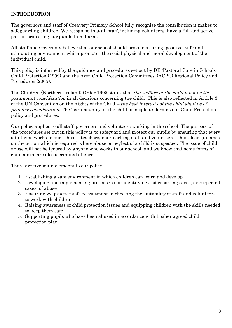#### INTRODUCTION

The governors and staff of Creavery Primary School fully recognise the contribution it makes to safeguarding children. We recognise that all staff, including volunteers, have a full and active part in protecting our pupils from harm.

All staff and Governors believe that our school should provide a caring, positive, safe and stimulating environment which promotes the social physical and moral development of the individual child.

This policy is informed by the guidance and procedures set out by DE 'Pastoral Care in Schools: Child Protection (1999) and the Area Child Protection Committees" (ACPC) Regional Policy and Procedures (2005).

The Children (Northern Ireland) Order 1995 states that the welfare of the child must be the paramount consideration in all decisions concerning the child. This is also reflected in Article 3 of the UN Convention on the Rights of the Child – the best interests of the child shall be of primary consideration. The 'paramountcy' of the child principle underpins our Child Protection policy and procedures.

Our policy applies to all staff, governors and volunteers working in the school. The purpose of the procedures set out in this policy is to safeguard and protect our pupils by ensuring that every adult who works in our school – teachers, non-teaching staff and volunteers – has clear guidance on the action which is required where abuse or neglect of a child is suspected. The issue of child abuse will not be ignored by anyone who works in our school, and we know that some forms of child abuse are also a criminal offence.

There are five main elements to our policy:

- 1. Establishing a safe environment in which children can learn and develop
- 2. Developing and implementing procedures for identifying and reporting cases, or suspected cases, of abuse
- 3. Ensuring we practice safe recruitment in checking the suitability of staff and volunteers to work with children
- 4. Raising awareness of child protection issues and equipping children with the skills needed to keep them safe
- 5. Supporting pupils who have been abused in accordance with his/her agreed child protection plan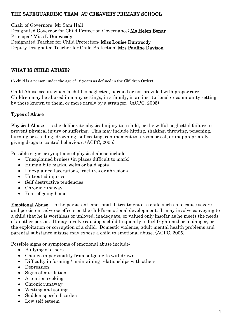#### THE SAFEGUARDING TEAM AT CREAVERY PRIMARY SCHOOL

Chair of Governors: Mr Sam Hall Designated Governor for Child Protection Governance: Ms Helen Bonar Principal: Miss L Dunwoody Designated Teacher for Child Protection: Miss Louise Dunwoody Deputy Designated Teacher for Child Protection: Mrs Pauline Davison

#### WHAT IS CHILD ABUSE?

(A child is a person under the age of 18 years as defined in the Children Order)

Child Abuse occurs when "a child is neglected, harmed or not provided with proper care. Children may be abused in many settings, in a family, in an institutional or community setting, by those known to them, or more rarely by a stranger." (ACPC, 2005)

#### Types of Abuse

Physical Abuse – is the deliberate physical injury to a child, or the wilful neglectful failure to prevent physical injury or suffering. This may include hitting, shaking, throwing, poisoning, burning or scalding, drowning, suffocating, confinement to a room or cot, or inappropriately giving drugs to control behaviour. (ACPC, 2005)

Possible signs or symptoms of physical abuse include:

- Unexplained bruises (in places difficult to mark)
- Human bite marks, welts or bald spots
- Unexplained lacerations, fractures or abrasions
- Untreated injuries
- Self-destructive tendencies
- Chronic runaway
- Fear of going home

**Emotional Abuse** – is the persistent emotional ill treatment of a child such as to cause severe and persistent adverse effects on the child"s emotional development. It may involve conveying to a child that he is worthless or unloved, inadequate, or valued only insofar as he meets the needs of another person. It may involve causing a child frequently to feel frightened or in danger, or the exploitation or corruption of a child. Domestic violence, adult mental health problems and parental substance misuse may expose a child to emotional abuse. (ACPC, 2005)

Possible signs or symptoms of emotional abuse include:

- Bullying of others
- Change in personality from outgoing to withdrawn
- Difficulty in forming / maintaining relationships with others
- Depression
- Signs of mutilation
- Attention seeking
- Chronic runaway
- Wetting and soiling
- Sudden speech disorders
- Low self-esteem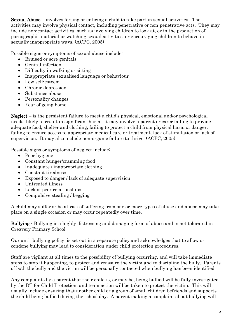Sexual Abuse – involves forcing or enticing a child to take part in sexual activities. The activities may involve physical contact, including penetrative or non-penetrative acts. They may include non-contact activities, such as involving children to look at, or in the production of, pornographic material or watching sexual activities, or encouraging children to behave in sexually inappropriate ways. (ACPC, 2005)

Possible signs or symptoms of sexual abuse include:

- Bruised or sore genitals
- Genital infection
- Difficulty in walking or sitting
- Inappropriate sexualised language or behaviour
- Low self-esteem
- Chronic depression
- Substance abuse
- Personality changes
- Fear of going home

Neglect – is the persistent failure to meet a child"s physical, emotional and/or psychological needs, likely to result in significant harm. It may involve a parent or carer failing to provide adequate food, shelter and clothing, failing to protect a child from physical harm or danger, failing to ensure access to appropriate medical care or treatment, lack of stimulation or lack of supervision. It may also include non-organic failure to thrive. (ACPC, 2005)

Possible signs or symptoms of neglect include:

- Poor hygiene
- Constant hunger/cramming food
- Inadequate / inappropriate clothing
- Constant tiredness
- Exposed to danger / lack of adequate supervision
- Untreated illness
- Lack of peer relationships
- Compulsive stealing / begging

A child may suffer or be at risk of suffering from one or more types of abuse and abuse may take place on a single occasion or may occur repeatedly over time.

Bullying - Bullying is a highly distressing and damaging form of abuse and is not tolerated in Creavery Primary School

Our anti- bullying policy is set out in a separate policy and acknowledges that to allow or condone bullying may lead to consideration under child protection procedures.

Staff are vigilant at all times to the possibility of bullying occurring, and will take immediate steps to stop it happening, to protect and reassure the victim and to discipline the bully. Parents of both the bully and the victim will be personally contacted when bullying has been identified.

Any complaints by a parent that their child is, or may be, being bullied will be fully investigated by the DT for Child Protection, and team action will be taken to protect the victim. This will usually include ensuring that another child or a group of small children befriends and supports the child being bullied during the school day. A parent making a complaint about bullying will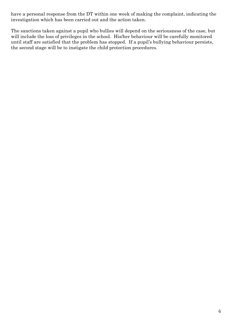have a personal response from the DT within one week of making the complaint, indicating the investigation which has been carried out and the action taken.

The sanctions taken against a pupil who bullies will depend on the seriousness of the case, but will include the loss of privileges in the school. His/her behaviour will be carefully monitored until staff are satisfied that the problem has stopped. If a pupil"s bullying behaviour persists, the second stage will be to instigate the child protection procedures.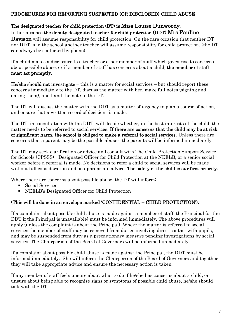#### PROCEDURES FOR REPORTING SUSPECTED (OR DISCLOSED) CHILD ABUSE

#### The designated teacher for child protection (DT) is Miss Louise Dunwoody. In her absence the deputy designated teacher for child protection (DDT) Mrs Pauline

**Davison** will assume responsibility for child protection. On the rare occasion that neither DT nor DDT is in the school another teacher will assume responsibility for child protection, (the DT can always be contacted by phone).

If a child makes a disclosure to a teacher or other member of staff which gives rise to concerns about possible abuse, or if a member of staff has concerns about a child, the member of staff must act promptly.

He/she should not investigate – this is a matter for social services – but should report these concerns immediately to the DT, discuss the matter with her, make full notes (signing and dating them), and hand the note to the DT.

The DT will discuss the matter with the DDT as a matter of urgency to plan a course of action, and ensure that a written record of decisions is made.

The DT, in consultation with the DDT, will decide whether, in the best interests of the child, the matter needs to be referred to social services. If there are concerns that the child may be at risk of significant harm, the school is obliged to make a referral to social services. Unless there are concerns that a parent may be the possible abuser, the parents will be informed immediately.

The DT may seek clarification or advice and consult with The Child Protection Support Service for Schools (CPSSS) - Designated Officer for Child Protection at the NEELB, or a senior social worker before a referral is made. No decisions to refer a child to social services will be made without full consideration and on appropriate advice. The safety of the child is our first priority.

Where there are concerns about possible abuse, the DT will inform:

- Social Services
- NEELB"s Designated Officer for Child Protection

#### (This will be done in an envelope marked "CONFIDENTIAL – CHILD PROTECTION").

If a complaint about possible child abuse is made against a member of staff, the Principal (or the DDT if the Principal is unavailable) must be informed immediately. The above procedures will apply (unless the complaint is about the Principal). Where the matter is referred to social services the member of staff may be removed from duties involving direct contact with pupils, and may be suspended from duty as a precautionary measure pending investigations by social services. The Chairperson of the Board of Governors will be informed immediately.

If a complaint about possible child abuse is made against the Principal, the DDT must be informed immediately. She will inform the Chairperson of the Board of Governors and together they will take appropriate advice and ensure the necessary action is taken.

If any member of staff feels unsure about what to do if he/she has concerns about a child, or unsure about being able to recognise signs or symptoms of possible child abuse, he/she should talk with the DT.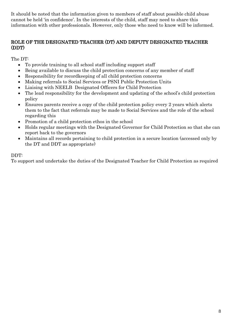It should be noted that the information given to members of staff about possible child abuse cannot be held "in confidence". In the interests of the child, staff may need to share this information with other professionals. However, only those who need to know will be informed.

#### ROLE OF THE DESIGNATED TEACHER (DT) AND DEPUTY DESIGNATED TEACHER (DDT)

The DT:

- To provide training to all school staff including support staff
- Being available to discuss the child protection concerns of any member of staff
- Responsibility for recordkeeping of all child protection concerns
- Making referrals to Social Services or PSNI Public Protection Units
- Liaising with NEELB Designated Officers for Child Protection
- The lead responsibility for the development and updating of the school"s child protection policy
- Ensures parents receive a copy of the child protection policy every 2 years which alerts them to the fact that referrals may be made to Social Services and the role of the school regarding this
- Promotion of a child protection ethos in the school
- Holds regular meetings with the Designated Governor for Child Protection so that she can report back to the governors
- Maintains all records pertaining to child protection in a secure location (accessed only by the DT and DDT as appropriate)

#### DDT:

To support and undertake the duties of the Designated Teacher for Child Protection as required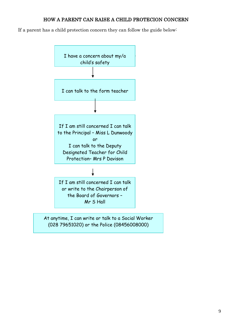#### HOW A PARENT CAN RAISE A CHILD PROTECION CONCERN

If a parent has a child protection concern they can follow the guide below:



9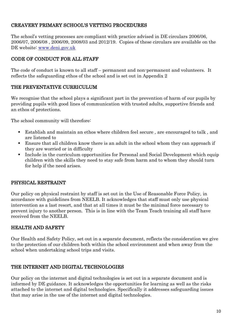#### CREAVERY PRIMARY SCHOOL"S VETTING PROCEDURES

The school's vetting processes are compliant with practice advised in DE circulars 2006/06, 2006/07, 2006/08 , 2006/09, 2008/03 and 2012/19. Copies of these circulars are available on the DE website: [www.deni.gov.uk](http://www.deni.gov.uk/)

#### CODE OF CONDUCT FOR ALL STAFF

The code of conduct is known to all staff – permanent and non-permanent and volunteers. It reflects the safeguarding ethos of the school and is set out in Appendix 2

#### THE PREVENTATIVE CURRICULUM

We recognise that the school plays a significant part in the prevention of harm of our pupils by providing pupils with good lines of communication with trusted adults, supportive friends and an ethos of protections.

The school community will therefore:

- Establish and maintain an ethos where children feel secure , are encouraged to talk , and are listened to
- Ensure that all children know there is an adult in the school whom they can approach if they are worried or in difficulty
- Include in the curriculum opportunities for Personal and Social Development which equip children with the skills they need to stay safe from harm and to whom they should turn for help if the need arises.

#### PHYSICAL RESTRAINT

Our policy on physical restraint by staff is set out in the Use of Reasonable Force Policy, in accordance with guidelines from NEELB. It acknowledges that staff must only use physical intervention as a last resort, and that at all times it must be the minimal force necessary to prevent injury to another person. This is in line with the Team Teach training all staff have received from the NEELB.

#### HEALTH AND SAFETY

Our Health and Safety Policy, set out in a separate document, reflects the consideration we give to the protection of our children both within the school environment and when away from the school when undertaking school trips and visits.

#### THE INTERNET AND DIGITAL TECHNOLOGIES

Our policy on the internet and digital technologies is set out in a separate document and is informed by DE guidance. It acknowledges the opportunities for learning as well as the risks attached to the internet and digital technologies. Specifically it addresses safeguarding issues that may arise in the use of the internet and digital technologies.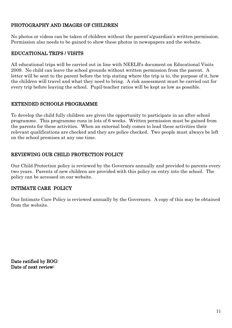#### PHOTOGRAPHY AND IMAGES OF CHILDREN

No photos or videos can be taken of children without the parent"s/guardian"s written permission. Permission also needs to be gained to show these photos in newspapers and the website.

#### EDUCATIONAL TRIPS / VISITS

All educational trips will be carried out in line with NEELB"s document on Educational Visits 2009. No child can leave the school grounds without written permission from the parent. A letter will be sent to the parent before the trip stating where the trip is to, the purpose of it, how the children will travel and what they need to bring. A risk assessment must be carried out for every trip before leaving the school. Pupil:teacher ratios will be kept as low as possible.

#### EXTENDED SCHOOLS PROGRAMME

To develop the child fully children are given the opportunity to participate in an after school programme. This programme runs in lots of 6 weeks. Written permission must be gained from the parents for these activities. When an external body comes to lead these activities their relevant qualifications are checked and they are police checked. Two people must always be left on the school premises at any one time.

#### REVIEWING OUR CHILD PROTECTION POLICY

Our Child Protection policy is reviewed by the Governors annually and provided to parents every two years. Parents of new children are provided with this policy on entry into the school. The policy can be accessed on our website.

#### INTIMATE CARE POLICY

Our Intimate Care Policy is reviewed annually by the Governors. A copy of this may be obtained from the website.

Date ratified by BOG: Date of next review: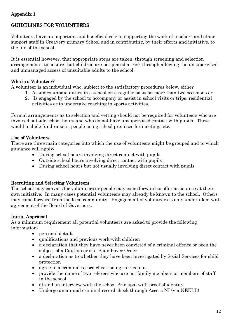#### Appendix 1

#### GUIDELINES FOR VOLUNTEERS

Volunteers have an important and beneficial role in supporting the work of teachers and other support staff in Creavery primary School and in contributing, by their efforts and initiative, to the life of the school.

It is essential however, that appropriate steps are taken, through screening and selection arrangements, to ensure that children are not placed at risk through allowing the unsupervised and unmanaged access of unsuitable adults to the school.

#### Who is a Volunteer?

A volunteer is an individual who, subject to the satisfactory procedures below, either

- 1. Assumes unpaid duties in a school on a regular basis on more than two occasions or
- 2. Is engaged by the school to accompany or assist in school visits or trips; residential activities or to undertake coaching in sports activities.

Formal arrangements as to selection and vetting should not be required for volunteers who are involved outside school hours and who do not have unsupervised contact with pupils. These would include fund raisers, people using school premises for meetings etc.

#### Use of Volunteers

There are three main categories into which the use of volunteers might be grouped and to which guidance will apply:

- During school hours involving direct contact with pupils
- Outside school hours involving direct contact with pupils
- During school hours but not usually involving direct contact with pupils

#### Recruiting and Selecting Volunteers

The school may canvass for volunteers or people may come forward to offer assistance at their own initiative. In many cases potential volunteers may already be known to the school. Others may come forward from the local community. Engagement of volunteers is only undertaken with agreement of the Board of Governors.

#### Initial Appraisal

As a minimum requirement all potential volunteers are asked to provide the following information:

- personal details
- qualifications and previous work with children
- a declaration that they have never been convicted of a criminal offence or been the subject of a Caution or of a Bound-over Order
- a declaration as to whether they have been investigated by Social Services for child protection
- agree to a criminal record check being carried out
- provide the name of two referees who are not family members or members of staff in the school
- attend an interview with the school Principal with proof of identity
- Undergo an annual criminal record check through Access NI (via NEELB)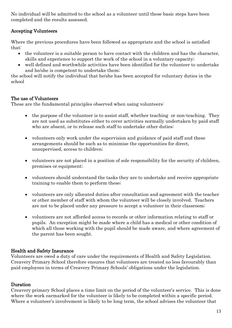No individual will be admitted to the school as a volunteer until these basic steps have been completed and the results assessed.

#### Accepting Volunteers

Where the previous procedures have been followed as appropriate and the school is satisfied that:

- the volunteer is a suitable person to have contact with the children and has the character, skills and experience to support the work of the school in a voluntary capacity;
- well defined and worthwhile activities have been identified for the volunteer to undertake and he/she is competent to undertake them;

the school will notify the individual that he/she has been accepted for voluntary duties in the school

#### The use of Volunteers

These are the fundamental principles observed when using volunteers:

- the purpose of the volunteer is to assist staff, whether teaching or non-teaching. They are not used as substitutes either to cover activities normally undertaken by paid staff who are absent, or to release such staff to undertake other duties:
- volunteers only work under the supervision and guidance of paid staff and these arrangements should be such as to minimise the opportunities for direct, unsupervised, access to children;
- volunteers are not placed in a position of sole responsibility for the security of children, premises or equipment;
- volunteers should understand the tasks they are to undertake and receive appropriate training to enable them to perform these;
- volunteers are only allocated duties after consultation and agreement with the teacher or other member of staff with whom the volunteer will be closely involved. Teachers are not to be placed under any pressure to accept a volunteer in their classroom;
- volunteers are not afforded access to records or other information relating to staff or pupils. An exception might be made where a child has a medical or other condition of which all those working with the pupil should be made aware, and where agreement of the parent has been sought.

#### Health and Safety Insurance

Volunteers are owed a duty of care under the requirements of Health and Safety Legislation. Creavery Primary School therefore ensures that volunteers are treated no less favourably than paid employees in terms of Creavery Primary Schools" obligations under the legislation.

#### Duration

Creavery primary School places a time limit on the period of the volunteer"s service. This is done where the work earmarked for the volunteer is likely to be completed within a specific period. Where a volunteer's involvement is likely to be long term, the school advises the volunteer that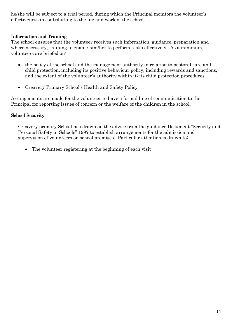he/she will be subject to a trial period, during which the Principal monitors the volunteer's effectiveness in contributing to the life and work of the school.

#### Information and Training

The school ensures that the volunteer receives such information, guidance, preparation and where necessary, training to enable him/her to perform tasks effectively. As a minimum, volunteers are briefed on:

- the policy of the school and the management authority in relation to pastoral care and child protection, including its positive behaviour policy, including rewards and sanctions, and the extent of the volunteer's authority within it; its child protection procedures
- Creavery Primary School"s Health and Safety Policy

Arrangements are made for the volunteer to have a formal line of communication to the Principal for reporting issues of concern or the welfare of the children in the school.

#### School Security

Creavery primary School has drawn on the advice from the guidance Document "Security and Personal Safety in Schools" 1997 to establish arrangements for the admission and supervision of volunteers on school premises. Particular attention is drawn to:

• The volunteer registering at the beginning of each visit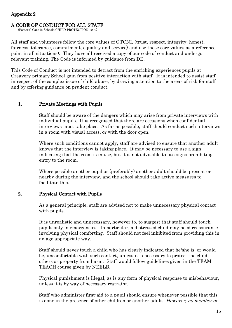#### Appendix 2

#### A CODE OF CONDUCT FOR ALL STAFF

(Pastoral Care in Schools CHILD PROTECTION 1999)

All staff and volunteers follow the core values of GTCNI, (trust, respect, integrity, honest, fairness, tolerance, commitment, equality and service) and use these core values as a reference point in all situations). They have all received a copy of our code of conduct and undergo relevant training. The Code is informed by guidance from DE.

This Code of Conduct is not intended to detract from the enriching experiences pupils at Creavery primary School gain from positive interaction with staff. It is intended to assist staff in respect of the complex issue of child abuse, by drawing attention to the areas of risk for staff and by offering guidance on prudent conduct.

#### 1. Private Meetings with Pupils

Staff should be aware of the dangers which may arise from private interviews with individual pupils. It is recognised that there are occasions when confidential interviews must take place. As far as possible, staff should conduct such interviews in a room with visual access, or with the door open.

Where such conditions cannot apply, staff are advised to ensure that another adult knows that the interview is taking place. It may be necessary to use a sign indicating that the room is in use, but it is not advisable to use signs prohibiting entry to the room.

Where possible another pupil or (preferably) another adult should be present or nearby during the interview, and the school should take active measures to facilitate this.

#### 2. Physical Contact with Pupils

As a general principle, staff are advised not to make unnecessary physical contact with pupils.

It is unrealistic and unnecessary, however to, to suggest that staff should touch pupils only in emergencies. In particular, a distressed child may need reassurance involving physical comforting. Staff should not feel inhibited from providing this in an age appropriate way.

Staff should never touch a child who has clearly indicated that he/she is, or would be, uncomfortable with such contact, unless it is necessary to protect the child, others or property from harm. Staff would follow guidelines given in the TEAM-TEACH course given by NEELB.

Physical punishment is illegal, as is any form of physical response to misbehaviour, unless it is by way of necessary restraint.

Staff who administer first-aid to a pupil should ensure whenever possible that this is done in the presence of other children or another adult. However, no member of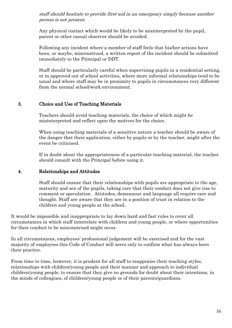staff should hesitate to provide first-aid in an emergency simply because another person is not present.

Any physical contact which would be likely to be misinterpreted by the pupil, parent or other casual observer should be avoided.

Following any incident where a member of staff feels that his/her actions have been, or maybe, misconstrued, a written report of the incident should be submitted immediately to the Principal or DDT.

Staff should be particularly careful when supervising pupils in a residential setting, or in approved out of school activities, where more informal relationships tend to be usual and where staff may be in proximity to pupils in circumstances very different from the normal school/work environment.

#### 3. Choice and Use of Teaching Materials

Teachers should avoid teaching materials, the choice of which might be misinterpreted and reflect upon the motives for the choice.

When using teaching materials of a sensitive nature a teacher should be aware of the danger that their application, either by pupils or by the teacher, might after the event be criticised.

If in doubt about the appropriateness of a particular teaching material, the teacher should consult with the Principal before using it.

#### 4. Relationships and Attitudes

Staff should ensure that their relationships with pupils are appropriate to the age, maturity and sex of the pupils, taking care that their conduct does not give rise to comment or speculation. Attitudes, demeanour and language all require care and thought. Staff are aware that they are in a position of trust in relation to the children and young people at the school.

It would be impossible and inappropriate to lay down hard and fast rules to cover all circumstances in which staff interrelate with children and young people, or where opportunities for their conduct to be misconstrued might occur.

In all circumstances, employees" professional judgement will be exercised and for the vast majority of employees this Code of Conduct will serve only to confirm what has always been their practice.

From time to time, however, it is prudent for all staff to reappraise their teaching styles, relationships with children/young people and their manner and approach to individual children/young people, to ensure that they give no grounds for doubt about their intentions, in the minds of colleagues, of children/young people or of their parents/guardians.